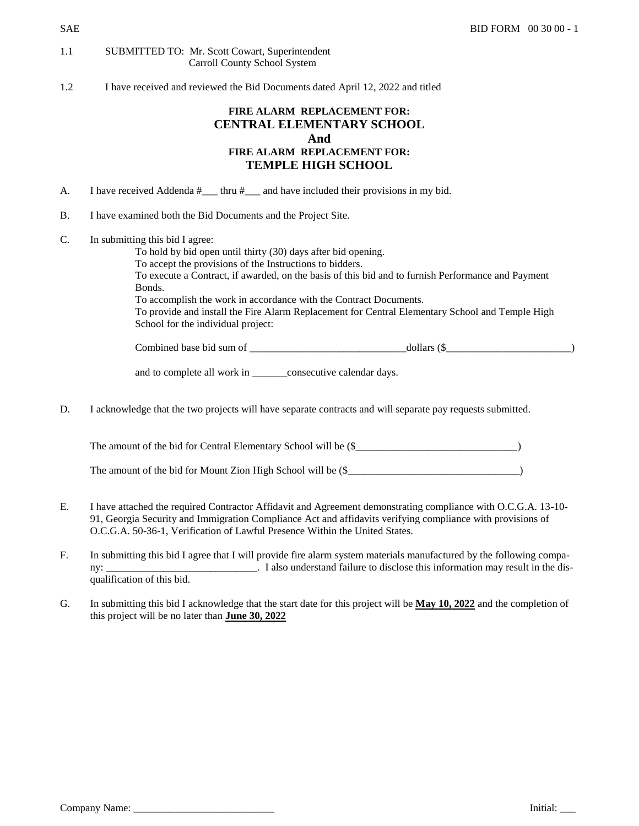## 1.1 SUBMITTED TO: Mr. Scott Cowart, Superintendent Carroll County School System

1.2 I have received and reviewed the Bid Documents dated April 12, 2022 and titled

## **FIRE ALARM REPLACEMENT FOR: CENTRAL ELEMENTARY SCHOOL And FIRE ALARM REPLACEMENT FOR: TEMPLE HIGH SCHOOL**

- A. I have received Addenda #<sub>\_\_\_\_</sub> thru #<sub>\_\_\_\_</sub> and have included their provisions in my bid.
- B. I have examined both the Bid Documents and the Project Site.
- C. In submitting this bid I agree:

To hold by bid open until thirty (30) days after bid opening. To accept the provisions of the Instructions to bidders. To execute a Contract, if awarded, on the basis of this bid and to furnish Performance and Payment Bonds. To accomplish the work in accordance with the Contract Documents. To provide and install the Fire Alarm Replacement for Central Elementary School and Temple High School for the individual project:

Combined base bid sum of \_\_\_\_\_\_\_\_\_\_\_\_\_\_\_\_\_\_\_\_\_\_\_\_\_\_\_\_\_\_dollars (\$\_\_\_\_\_\_\_\_\_\_\_\_\_\_\_\_\_\_\_\_\_\_\_\_)

and to complete all work in \_\_\_\_\_\_consecutive calendar days.

D. I acknowledge that the two projects will have separate contracts and will separate pay requests submitted.

| The amount of the bid for Central Elementary School will be (\$ |  |
|-----------------------------------------------------------------|--|
|                                                                 |  |
|                                                                 |  |

The amount of the bid for Mount Zion High School will be  $(\$$ 

- E. I have attached the required Contractor Affidavit and Agreement demonstrating compliance with O.C.G.A. 13-10- 91, Georgia Security and Immigration Compliance Act and affidavits verifying compliance with provisions of O.C.G.A. 50-36-1, Verification of Lawful Presence Within the United States.
- F. In submitting this bid I agree that I will provide fire alarm system materials manufactured by the following company: *\_\_\_\_\_\_\_\_\_\_\_\_\_\_\_\_\_\_\_\_\_\_\_\_\_\_\_\_\_*. I also understand failure to disclose this information may result in the disqualification of this bid.
- G. In submitting this bid I acknowledge that the start date for this project will be **May 10, 2022** and the completion of this project will be no later than **June 30, 2022**